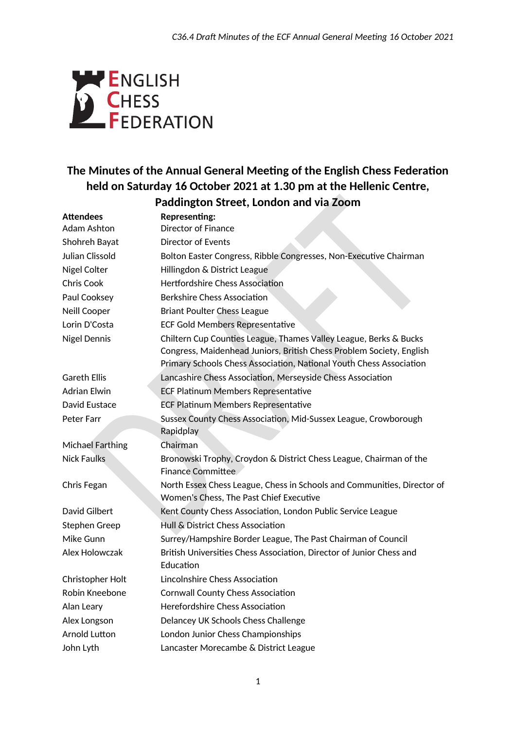

## **The Minutes of the Annual General Meeting of the English Chess Federation held on Saturday 16 October 2021 at 1.30 pm at the Hellenic Centre,**

# **Paddington Street, London and via Zoom**

| <b>Attendees</b>     | <b>Representing:</b>                                                                                                                                                                                             |
|----------------------|------------------------------------------------------------------------------------------------------------------------------------------------------------------------------------------------------------------|
| <b>Adam Ashton</b>   | Director of Finance                                                                                                                                                                                              |
| Shohreh Bayat        | <b>Director of Events</b>                                                                                                                                                                                        |
| Julian Clissold      | Bolton Easter Congress, Ribble Congresses, Non-Executive Chairman                                                                                                                                                |
| Nigel Colter         | Hillingdon & District League                                                                                                                                                                                     |
| <b>Chris Cook</b>    | <b>Hertfordshire Chess Association</b>                                                                                                                                                                           |
| Paul Cooksey         | <b>Berkshire Chess Association</b>                                                                                                                                                                               |
| Neill Cooper         | <b>Briant Poulter Chess League</b>                                                                                                                                                                               |
| Lorin D'Costa        | <b>ECF Gold Members Representative</b>                                                                                                                                                                           |
| <b>Nigel Dennis</b>  | Chiltern Cup Counties League, Thames Valley League, Berks & Bucks<br>Congress, Maidenhead Juniors, British Chess Problem Society, English<br>Primary Schools Chess Association, National Youth Chess Association |
| <b>Gareth Ellis</b>  | Lancashire Chess Association, Merseyside Chess Association                                                                                                                                                       |
| <b>Adrian Elwin</b>  | <b>ECF Platinum Members Representative</b>                                                                                                                                                                       |
| David Eustace        | <b>ECF Platinum Members Representative</b>                                                                                                                                                                       |
| Peter Farr           | Sussex County Chess Association, Mid-Sussex League, Crowborough<br>Rapidplay                                                                                                                                     |
| Michael Farthing     | Chairman                                                                                                                                                                                                         |
| <b>Nick Faulks</b>   | Bronowski Trophy, Croydon & District Chess League, Chairman of the<br>Finance Committee                                                                                                                          |
| Chris Fegan          | North Essex Chess League, Chess in Schools and Communities, Director of<br>Women's Chess, The Past Chief Executive                                                                                               |
| David Gilbert        | Kent County Chess Association, London Public Service League                                                                                                                                                      |
| Stephen Greep        | Hull & District Chess Association                                                                                                                                                                                |
| Mike Gunn            | Surrey/Hampshire Border League, The Past Chairman of Council                                                                                                                                                     |
| Alex Holowczak       | British Universities Chess Association, Director of Junior Chess and<br>Education                                                                                                                                |
| Christopher Holt     | Lincolnshire Chess Association                                                                                                                                                                                   |
| Robin Kneebone       | <b>Cornwall County Chess Association</b>                                                                                                                                                                         |
| Alan Leary           | <b>Herefordshire Chess Association</b>                                                                                                                                                                           |
| Alex Longson         | Delancey UK Schools Chess Challenge                                                                                                                                                                              |
| <b>Arnold Lutton</b> | London Junior Chess Championships                                                                                                                                                                                |
| John Lyth            | Lancaster Morecambe & District League                                                                                                                                                                            |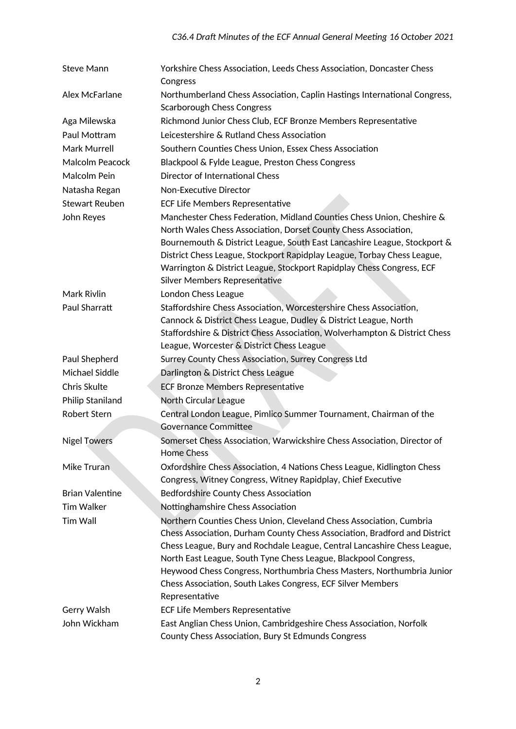| <b>Steve Mann</b>      | Yorkshire Chess Association, Leeds Chess Association, Doncaster Chess<br>Congress                                                                                                                                                                                                                                                                                                                                                                         |  |
|------------------------|-----------------------------------------------------------------------------------------------------------------------------------------------------------------------------------------------------------------------------------------------------------------------------------------------------------------------------------------------------------------------------------------------------------------------------------------------------------|--|
| Alex McFarlane         | Northumberland Chess Association, Caplin Hastings International Congress,<br><b>Scarborough Chess Congress</b>                                                                                                                                                                                                                                                                                                                                            |  |
| Aga Milewska           | Richmond Junior Chess Club, ECF Bronze Members Representative                                                                                                                                                                                                                                                                                                                                                                                             |  |
| Paul Mottram           | Leicestershire & Rutland Chess Association                                                                                                                                                                                                                                                                                                                                                                                                                |  |
| Mark Murrell           | Southern Counties Chess Union, Essex Chess Association                                                                                                                                                                                                                                                                                                                                                                                                    |  |
| Malcolm Peacock        | Blackpool & Fylde League, Preston Chess Congress                                                                                                                                                                                                                                                                                                                                                                                                          |  |
| Malcolm Pein           | Director of International Chess                                                                                                                                                                                                                                                                                                                                                                                                                           |  |
| Natasha Regan          | Non-Executive Director                                                                                                                                                                                                                                                                                                                                                                                                                                    |  |
| <b>Stewart Reuben</b>  | ECF Life Members Representative                                                                                                                                                                                                                                                                                                                                                                                                                           |  |
| John Reyes             | Manchester Chess Federation, Midland Counties Chess Union, Cheshire &<br>North Wales Chess Association, Dorset County Chess Association,<br>Bournemouth & District League, South East Lancashire League, Stockport &<br>District Chess League, Stockport Rapidplay League, Torbay Chess League,<br>Warrington & District League, Stockport Rapidplay Chess Congress, ECF<br><b>Silver Members Representative</b>                                          |  |
| Mark Rivlin            | London Chess League                                                                                                                                                                                                                                                                                                                                                                                                                                       |  |
| Paul Sharratt          | Staffordshire Chess Association, Worcestershire Chess Association,<br>Cannock & District Chess League, Dudley & District League, North<br>Staffordshire & District Chess Association, Wolverhampton & District Chess<br>League, Worcester & District Chess League                                                                                                                                                                                         |  |
| Paul Shepherd          | Surrey County Chess Association, Surrey Congress Ltd                                                                                                                                                                                                                                                                                                                                                                                                      |  |
| Michael Siddle         | Darlington & District Chess League                                                                                                                                                                                                                                                                                                                                                                                                                        |  |
| Chris Skulte           | <b>ECF Bronze Members Representative</b>                                                                                                                                                                                                                                                                                                                                                                                                                  |  |
| Philip Staniland       | North Circular League                                                                                                                                                                                                                                                                                                                                                                                                                                     |  |
| Robert Stern           | Central London League, Pimlico Summer Tournament, Chairman of the                                                                                                                                                                                                                                                                                                                                                                                         |  |
|                        | <b>Governance Committee</b>                                                                                                                                                                                                                                                                                                                                                                                                                               |  |
| <b>Nigel Towers</b>    | Somerset Chess Association, Warwickshire Chess Association, Director of<br><b>Home Chess</b>                                                                                                                                                                                                                                                                                                                                                              |  |
| Mike Truran            | Oxfordshire Chess Association, 4 Nations Chess League, Kidlington Chess                                                                                                                                                                                                                                                                                                                                                                                   |  |
|                        | Congress, Witney Congress, Witney Rapidplay, Chief Executive                                                                                                                                                                                                                                                                                                                                                                                              |  |
| <b>Brian Valentine</b> | Bedfordshire County Chess Association                                                                                                                                                                                                                                                                                                                                                                                                                     |  |
| <b>Tim Walker</b>      | Nottinghamshire Chess Association                                                                                                                                                                                                                                                                                                                                                                                                                         |  |
| <b>Tim Wall</b>        | Northern Counties Chess Union, Cleveland Chess Association, Cumbria<br>Chess Association, Durham County Chess Association, Bradford and District<br>Chess League, Bury and Rochdale League, Central Lancashire Chess League,<br>North East League, South Tyne Chess League, Blackpool Congress,<br>Heywood Chess Congress, Northumbria Chess Masters, Northumbria Junior<br>Chess Association, South Lakes Congress, ECF Silver Members<br>Representative |  |
| Gerry Walsh            | ECF Life Members Representative                                                                                                                                                                                                                                                                                                                                                                                                                           |  |
| John Wickham           | East Anglian Chess Union, Cambridgeshire Chess Association, Norfolk<br>County Chess Association, Bury St Edmunds Congress                                                                                                                                                                                                                                                                                                                                 |  |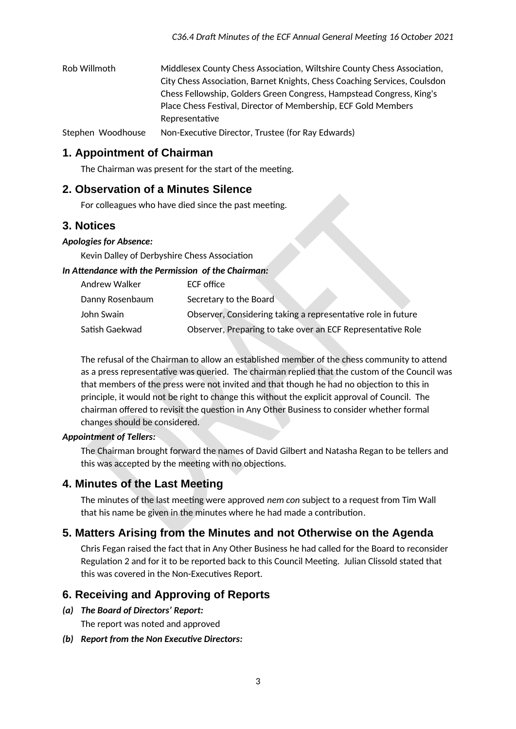| Rob Willmoth | Middlesex County Chess Association, Wiltshire County Chess Association,   |
|--------------|---------------------------------------------------------------------------|
|              | City Chess Association, Barnet Knights, Chess Coaching Services, Coulsdon |
|              | Chess Fellowship, Golders Green Congress, Hampstead Congress, King's      |
|              | Place Chess Festival, Director of Membership, ECF Gold Members            |
|              | Representative                                                            |
|              |                                                                           |

Stephen Woodhouse Non-Executive Director, Trustee (for Ray Edwards)

## **1. Appointment of Chairman**

The Chairman was present for the start of the meeting.

## **2. Observation of a Minutes Silence**

For colleagues who have died since the past meeting.

## **3. Notices**

#### *Apologies for Absence:*

Kevin Dalley of Derbyshire Chess Association

#### *In Attendance with the Permission of the Chairman:*

| Andrew Walker   | ECF office                                                   |
|-----------------|--------------------------------------------------------------|
| Danny Rosenbaum | Secretary to the Board                                       |
| John Swain      | Observer, Considering taking a representative role in future |
| Satish Gaekwad  | Observer, Preparing to take over an ECF Representative Role  |

The refusal of the Chairman to allow an established member of the chess community to attend as a press representative was queried. The chairman replied that the custom of the Council was that members of the press were not invited and that though he had no objection to this in principle, it would not be right to change this without the explicit approval of Council. The chairman offered to revisit the question in Any Other Business to consider whether formal changes should be considered.

#### *Appointment of Tellers:*

The Chairman brought forward the names of David Gilbert and Natasha Regan to be tellers and this was accepted by the meeting with no objections.

## **4. Minutes of the Last Meeting**

The minutes of the last meeting were approved *nem con* subject to a request from Tim Wall that his name be given in the minutes where he had made a contribution.

## **5. Matters Arising from the Minutes and not Otherwise on the Agenda**

Chris Fegan raised the fact that in Any Other Business he had called for the Board to reconsider Regulation 2 and for it to be reported back to this Council Meeting. Julian Clissold stated that this was covered in the Non-Executives Report.

## **6. Receiving and Approving of Reports**

*(a) The Board of Directors' Report:*

The report was noted and approved

#### *(b) Report from the Non Executive Directors:*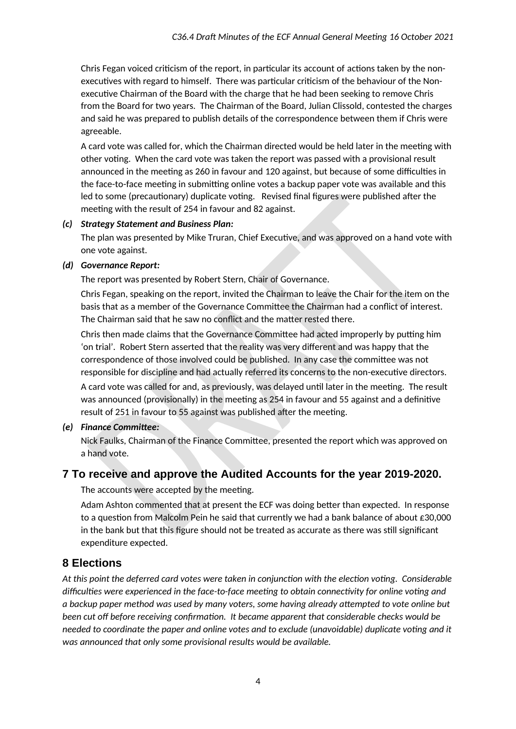Chris Fegan voiced criticism of the report, in particular its account of actions taken by the nonexecutives with regard to himself. There was particular criticism of the behaviour of the Nonexecutive Chairman of the Board with the charge that he had been seeking to remove Chris from the Board for two years. The Chairman of the Board, Julian Clissold, contested the charges and said he was prepared to publish details of the correspondence between them if Chris were agreeable.

A card vote was called for, which the Chairman directed would be held later in the meeting with other voting. When the card vote was taken the report was passed with a provisional result announced in the meeting as 260 in favour and 120 against, but because of some difficulties in the face-to-face meeting in submitting online votes a backup paper vote was available and this led to some (precautionary) duplicate voting. Revised final figures were published after the meeting with the result of 254 in favour and 82 against.

#### *(c) Strategy Statement and Business Plan:*

The plan was presented by Mike Truran, Chief Executive, and was approved on a hand vote with one vote against.

#### *(d) Governance Report:*

The report was presented by Robert Stern, Chair of Governance.

Chris Fegan, speaking on the report, invited the Chairman to leave the Chair for the item on the basis that as a member of the Governance Committee the Chairman had a conflict of interest. The Chairman said that he saw no conflict and the matter rested there.

Chris then made claims that the Governance Committee had acted improperly by putting him 'on trial'. Robert Stern asserted that the reality was very different and was happy that the correspondence of those involved could be published. In any case the committee was not responsible for discipline and had actually referred its concerns to the non-executive directors.

A card vote was called for and, as previously, was delayed until later in the meeting. The result was announced (provisionally) in the meeting as 254 in favour and 55 against and a definitive result of 251 in favour to 55 against was published after the meeting.

#### *(e) Finance Committee:*

Nick Faulks, Chairman of the Finance Committee, presented the report which was approved on a hand vote.

## **7 To receive and approve the Audited Accounts for the year 2019-2020.**

The accounts were accepted by the meeting.

Adam Ashton commented that at present the ECF was doing better than expected. In response to a question from Malcolm Pein he said that currently we had a bank balance of about £30,000 in the bank but that this figure should not be treated as accurate as there was still significant expenditure expected.

## **8 Elections**

*At this point the deferred card votes were taken in conjunction with the election voting. Considerable difficulties were experienced in the face-to-face meeting to obtain connectivity for online voting and a backup paper method was used by many voters, some having already attempted to vote online but been cut off before receiving confirmation. It became apparent that considerable checks would be needed to coordinate the paper and online votes and to exclude (unavoidable) duplicate voting and it was announced that only some provisional results would be available.*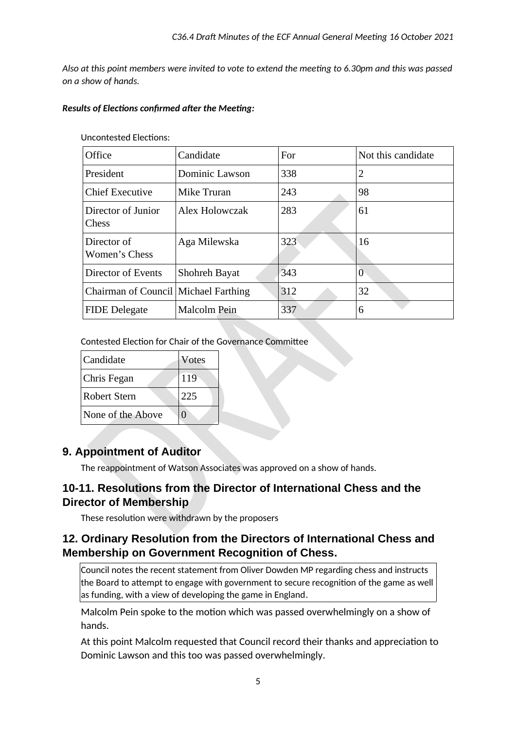*Also at this point members were invited to vote to extend the meeting to 6.30pm and this was passed on a show of hands.*

#### *Results of Elections confirmed after the Meeting:*

| Office                               | Candidate            | For | Not this candidate |
|--------------------------------------|----------------------|-----|--------------------|
| President                            | Dominic Lawson       | 338 | $\overline{2}$     |
| <b>Chief Executive</b>               | Mike Truran          | 243 | 98                 |
| Director of Junior<br><b>Chess</b>   | Alex Holowczak       | 283 | 61                 |
| Director of<br>Women's Chess         | Aga Milewska         | 323 | 16                 |
| Director of Events                   | <b>Shohreh Bayat</b> | 343 | 0                  |
| Chairman of Council Michael Farthing |                      | 312 | 32                 |
| <b>FIDE</b> Delegate                 | Malcolm Pein         | 337 | 6                  |

Uncontested Elections:

Contested Election for Chair of the Governance Committee

| Candidate         | <b>Votes</b> |
|-------------------|--------------|
| Chris Fegan       | 119          |
| Robert Stern      | 225          |
| None of the Above |              |

## **9. Appointment of Auditor**

The reappointment of Watson Associates was approved on a show of hands.

## **10-11. Resolutions from the Director of International Chess and the Director of Membership**

These resolution were withdrawn by the proposers

## **12. Ordinary Resolution from the Directors of International Chess and Membership on Government Recognition of Chess.**

Council notes the recent statement from Oliver Dowden MP regarding chess and instructs  $|$ the Board to attempt to engage with government to secure recognition of the game as well as funding, with a view of developing the game in England.

Malcolm Pein spoke to the motion which was passed overwhelmingly on a show of hands.

At this point Malcolm requested that Council record their thanks and appreciation to Dominic Lawson and this too was passed overwhelmingly.